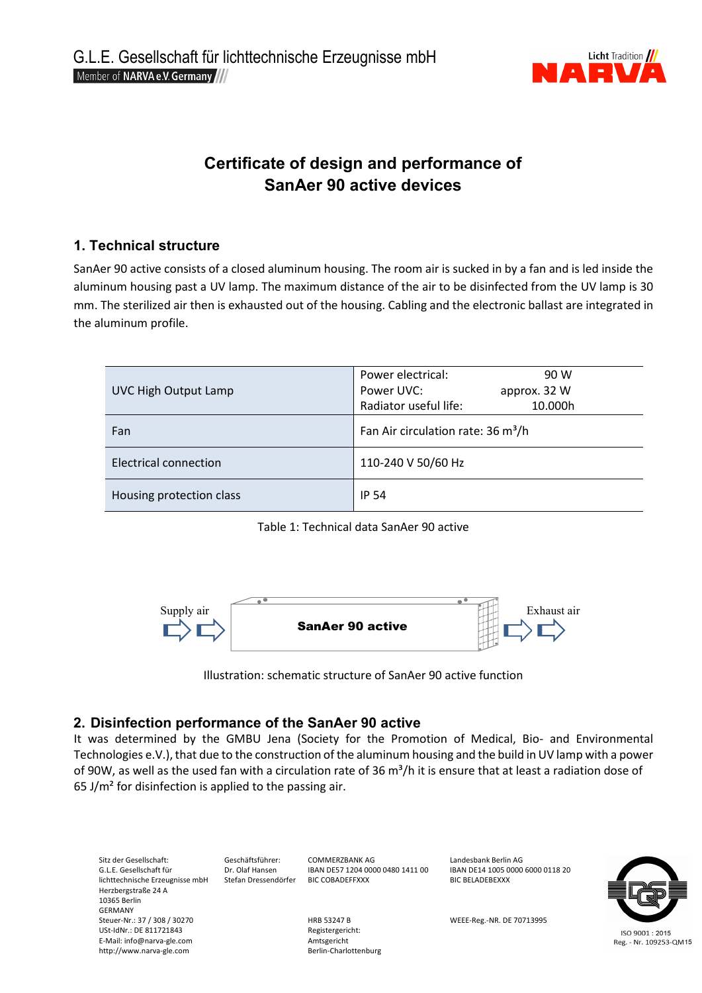

# **Certificate of design and performance of SanAer 90 active devices**

## **1. Technical structure**

SanAer 90 active consists of a closed aluminum housing. The room air is sucked in by a fan and is led inside the aluminum housing past a UV lamp. The maximum distance of the air to be disinfected from the UV lamp is 30 mm. The sterilized air then is exhausted out of the housing. Cabling and the electronic ballast are integrated in the aluminum profile.

|                              | Power electrical:<br>90 W                      |  |
|------------------------------|------------------------------------------------|--|
| UVC High Output Lamp         | Power UVC:<br>approx. 32 W                     |  |
|                              | Radiator useful life:<br>10.000h               |  |
| Fan                          | Fan Air circulation rate: 36 m <sup>3</sup> /h |  |
| <b>Electrical connection</b> | 110-240 V 50/60 Hz                             |  |
| Housing protection class     | <b>IP 54</b>                                   |  |

Table 1: Technical data SanAer 90 active



Illustration: schematic structure of SanAer 90 active function

## **2. Disinfection performance of the SanAer 90 active**

It was determined by the GMBU Jena (Society for the Promotion of Medical, Bio- and Environmental Technologies e.V.), that due to the construction of the aluminum housing and the build in UV lamp with a power of 90W, as well as the used fan with a circulation rate of 36  $m^3/h$  it is ensure that at least a radiation dose of 65 J/ $m<sup>2</sup>$  for disinfection is applied to the passing air.

Sitz der Gesellschaft: Geschäftsführer: COMMERZBANK AG Landesbank Berlin AG Landesbank Berlin AG Landesbank Berlin AG<br>G.L.E. Gesellschaft für CDRT Dr. Olaf Hansen BAN DES7 1204 0000 0480 1411 00 BAN DE14 1005 0000 6000 011 EX. Olaf Hansen IBAN DE57 1204 0000 0480 1411 00 IBAN DE14 1005 0<br>Stefan Dressendörfer IBIC COBADEFFXXX BIC BELADEBEXXX lichttechnische Erzeugnisse mbH Herzbergstraße 24 A 10365 Berlin GERMANY<br>Steuer-Nr.: 37 / 308 / 30270 Steuer-Nr.: 37 MEEE-Reg.-NR. DE 70713995<br>
Registergericht: USt-IdNr.: DE 811721843 ISO 9001:2015 E-Mail: info@narva-gle.com entity and the manufacture of the Amtsgericht<br>
http://www.narva-gle.com entity and the Berlin-Charlottenburg Reg. - Nr. 109253-QM15 http://www.narva-gle.com